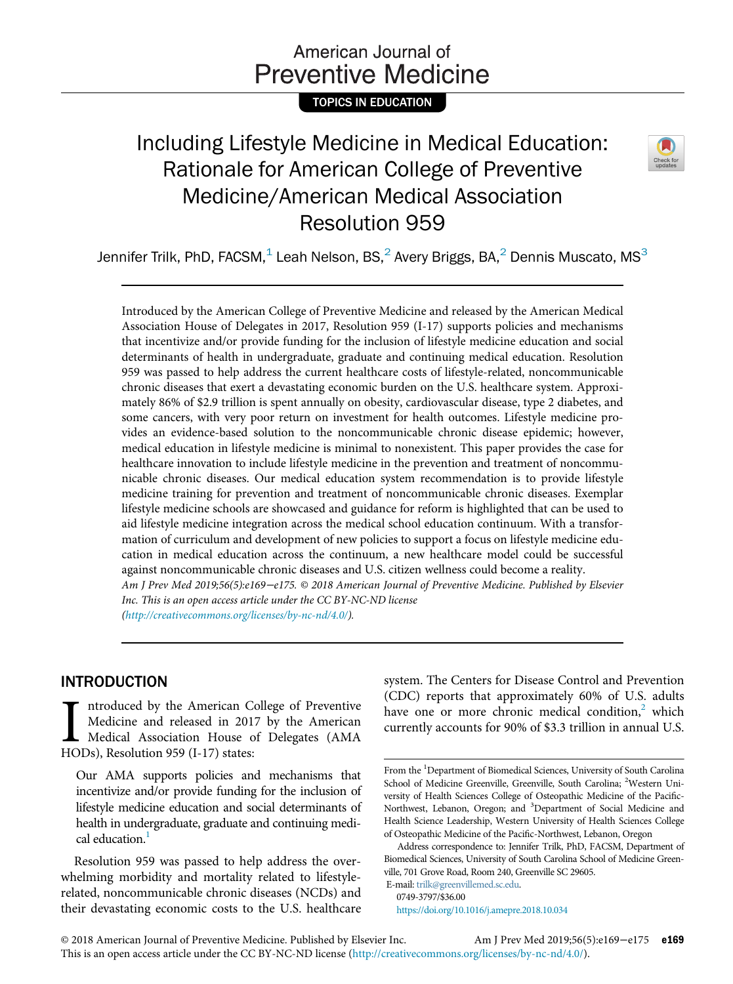# American Journal of **Preventive Medicine**

TOPICS IN EDUCATION

# Including Lifestyle Medicine in Medical Education: Rationale for American College of Preventive Medicine/American Medical Association Resolution 959



Jennifer Trilk, PhD, FACSM, $<sup>1</sup>$  Leah Nelson, BS, $<sup>2</sup>$  Avery Briggs, BA, $<sup>2</sup>$  Dennis Muscato, MS $<sup>3</sup>$ </sup></sup></sup></sup>

Introduced by the American College of Preventive Medicine and released by the American Medical Association House of Delegates in 2017, Resolution 959 (I-17) supports policies and mechanisms that incentivize and/or provide funding for the inclusion of lifestyle medicine education and social determinants of health in undergraduate, graduate and continuing medical education. Resolution 959 was passed to help address the current healthcare costs of lifestyle-related, noncommunicable chronic diseases that exert a devastating economic burden on the U.S. healthcare system. Approximately 86% of \$2.9 trillion is spent annually on obesity, cardiovascular disease, type 2 diabetes, and some cancers, with very poor return on investment for health outcomes. Lifestyle medicine provides an evidence-based solution to the noncommunicable chronic disease epidemic; however, medical education in lifestyle medicine is minimal to nonexistent. This paper provides the case for healthcare innovation to include lifestyle medicine in the prevention and treatment of noncommunicable chronic diseases. Our medical education system recommendation is to provide lifestyle medicine training for prevention and treatment of noncommunicable chronic diseases. Exemplar lifestyle medicine schools are showcased and guidance for reform is highlighted that can be used to aid lifestyle medicine integration across the medical school education continuum. With a transformation of curriculum and development of new policies to support a focus on lifestyle medicine education in medical education across the continuum, a new healthcare model could be successful against noncommunicable chronic diseases and U.S. citizen wellness could become a reality. Am J Prev Med 2019;56(5):e169−e175. © 2018 American Journal of Preventive Medicine. Published by Elsevier Inc. This is an open access article under the CC BY-NC-ND license

([http://creativecommons.org/licenses/by-nc-nd/4.0/\)](http://creativecommons.org/licenses/by-nc-nd/4.0/).

# INTRODUCTION

I ntroduced by the American C<br>Medicine and released in 201<br>Medical Association House c<br>HODs), Resolution 959 (I-17) states: ntroduced by the American College of Preventive Medicine and released in 2017 by the American Medical Association House of Delegates (AMA

Our AMA supports policies and mechanisms that incentivize and/or provide funding for the inclusion of lifestyle medicine education and social determinants of health in undergraduate, graduate and continuing medical education.<sup>1</sup>

Resolution 959 was passed to help address the overwhelming morbidity and mortality related to lifestylerelated, noncommunicable chronic diseases (NCDs) and their devastating economic costs to the U.S. healthcare system. The Centers for Disease Control and Prevention (CDC) reports that approximately 60% of U.S. adults have one or more chronic medical condition, $<sup>2</sup>$  $<sup>2</sup>$  $<sup>2</sup>$  which</sup> currently accounts for 90% of \$3.3 trillion in annual U.S.

E-mail: [trilk@greenvillemed.sc.edu](mailto:trilk@greenvillemed.sc.edu). 0749-3797/\$36.00

<https://doi.org/10.1016/j.amepre.2018.10.034>

From the <sup>1</sup>Department of Biomedical Sciences, University of South Carolina School of Medicine Greenville, Greenville, South Carolina; <sup>2</sup>Western University of Health Sciences College of Osteopathic Medicine of the Pacific-Northwest, Lebanon, Oregon; and <sup>3</sup>Department of Social Medicine and Health Science Leadership, Western University of Health Sciences College of Osteopathic Medicine of the Pacific-Northwest, Lebanon, Oregon

Address correspondence to: Jennifer Trilk, PhD, FACSM, Department of Biomedical Sciences, University of South Carolina School of Medicine Greenville, 701 Grove Road, Room 240, Greenville SC 29605.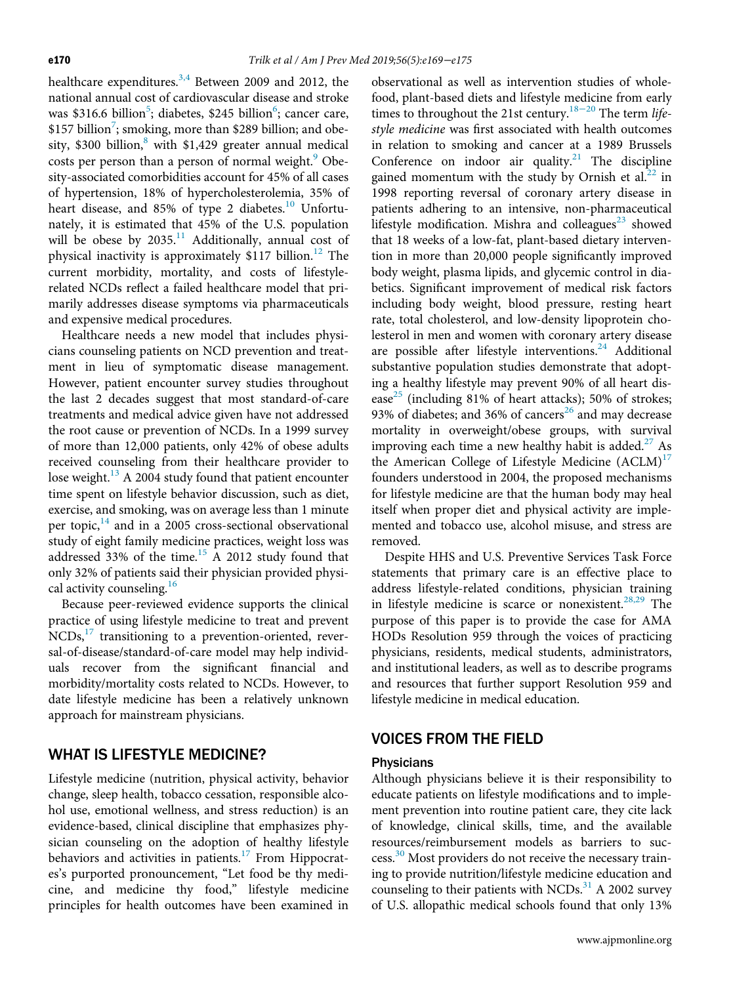healthcare expenditures.<sup>[3,4](#page-5-0)</sup> Between 2009 and 2012, the national annual cost of cardiovascular disease and stroke was \$316.6 billion<sup>[5](#page-5-1)</sup>; diabetes, \$245 billion<sup>6</sup>; cancer care, \$15[7](#page-5-3) billion<sup>7</sup>; smoking, more than \$289 billion; and obesity,  $$300$  billion,<sup>[8](#page-5-4)</sup> with  $$1,429$  greater annual medical costs per person than a person of normal weight.<sup>9</sup> Obesity-associated comorbidities account for 45% of all cases of hypertension, 18% of hypercholesterolemia, 35% of heart disease, and 85% of type 2 diabetes.<sup>10</sup> Unfortunately, it is estimated that 45% of the U.S. population will be obese by  $2035$ .<sup>[11](#page-5-7)</sup> Additionally, annual cost of physical inactivity is approximately  $$117$  billion.<sup>[12](#page-5-8)</sup> The current morbidity, mortality, and costs of lifestylerelated NCDs reflect a failed healthcare model that primarily addresses disease symptoms via pharmaceuticals and expensive medical procedures.

Healthcare needs a new model that includes physicians counseling patients on NCD prevention and treatment in lieu of symptomatic disease management. However, patient encounter survey studies throughout the last 2 decades suggest that most standard-of-care treatments and medical advice given have not addressed the root cause or prevention of NCDs. In a 1999 survey of more than 12,000 patients, only 42% of obese adults received counseling from their healthcare provider to lose weight.<sup>[13](#page-5-9)</sup> A 2004 study found that patient encounter time spent on lifestyle behavior discussion, such as diet, exercise, and smoking, was on average less than 1 minute per topic, $14$  and in a 2005 cross-sectional observational study of eight family medicine practices, weight loss was addressed 33% of the time[.15](#page-5-11) A 2012 study found that only 32% of patients said their physician provided physical activity counseling. $16$ 

Because peer-reviewed evidence supports the clinical practice of using lifestyle medicine to treat and prevent  $NCDs$ ,<sup>17</sup> transitioning to a prevention-oriented, reversal-of-disease/standard-of-care model may help individuals recover from the significant financial and morbidity/mortality costs related to NCDs. However, to date lifestyle medicine has been a relatively unknown approach for mainstream physicians.

# WHAT IS LIFESTYLE MEDICINE?

Lifestyle medicine (nutrition, physical activity, behavior change, sleep health, tobacco cessation, responsible alcohol use, emotional wellness, and stress reduction) is an evidence-based, clinical discipline that emphasizes physician counseling on the adoption of healthy lifestyle behaviors and activities in patients.<sup>[17](#page-5-13)</sup> From Hippocrates's purported pronouncement, "Let food be thy medicine, and medicine thy food," lifestyle medicine principles for health outcomes have been examined in

observational as well as intervention studies of wholefood, plant-based diets and lifestyle [medic](#page-5-14)ine from early times to throughout the 21st century.<sup>18−20</sup> The term lifestyle medicine was first associated with health outcomes in relation to smoking and cancer at a 1989 Brussels Conference on indoor air quality. $21$  The discipline gained momentum with the study by Ornish et al. $^{22}$  $^{22}$  $^{22}$  in 1998 reporting reversal of coronary artery disease in patients adhering to an intensive, non-pharmaceutical lifestyle modification. Mishra and colleagues $^{23}$  $^{23}$  $^{23}$  showed that 18 weeks of a low-fat, plant-based dietary intervention in more than 20,000 people significantly improved body weight, plasma lipids, and glycemic control in diabetics. Significant improvement of medical risk factors including body weight, blood pressure, resting heart rate, total cholesterol, and low-density lipoprotein cholesterol in men and women with coronary artery disease are possible after lifestyle interventions. $24$  Additional substantive population studies demonstrate that adopting a healthy lifestyle may prevent 90% of all heart disease<sup>25</sup> (including 81% of heart attacks); 50% of strokes; 93% of diabetes; and 36% of cancers<sup>[26](#page-5-20)</sup> and may decrease mortality in overweight/obese groups, with survival improving each time a new healthy habit is added.<sup>27</sup> As the American College of Lifestyle Medicine  $(ACLM)^{17}$  $(ACLM)^{17}$  $(ACLM)^{17}$ founders understood in 2004, the proposed mechanisms for lifestyle medicine are that the human body may heal itself when proper diet and physical activity are implemented and tobacco use, alcohol misuse, and stress are removed.

Despite HHS and U.S. Preventive Services Task Force statements that primary care is an effective place to address lifestyle-related conditions, physician training in lifestyle medicine is scarce or nonexistent.<sup>28,29</sup> The purpose of this paper is to provide the case for AMA HODs Resolution 959 through the voices of practicing physicians, residents, medical students, administrators, and institutional leaders, as well as to describe programs and resources that further support Resolution 959 and lifestyle medicine in medical education.

# VOICES FROM THE FIELD

#### **Physicians**

Although physicians believe it is their responsibility to educate patients on lifestyle modifications and to implement prevention into routine patient care, they cite lack of knowledge, clinical skills, time, and the available resources/reimbursement models as barriers to suc-cess.<sup>[30](#page-5-23)</sup> Most providers do not receive the necessary training to provide nutrition/lifestyle medicine education and counseling to their patients with NCDs. $31$  A 2002 survey of U.S. allopathic medical schools found that only 13%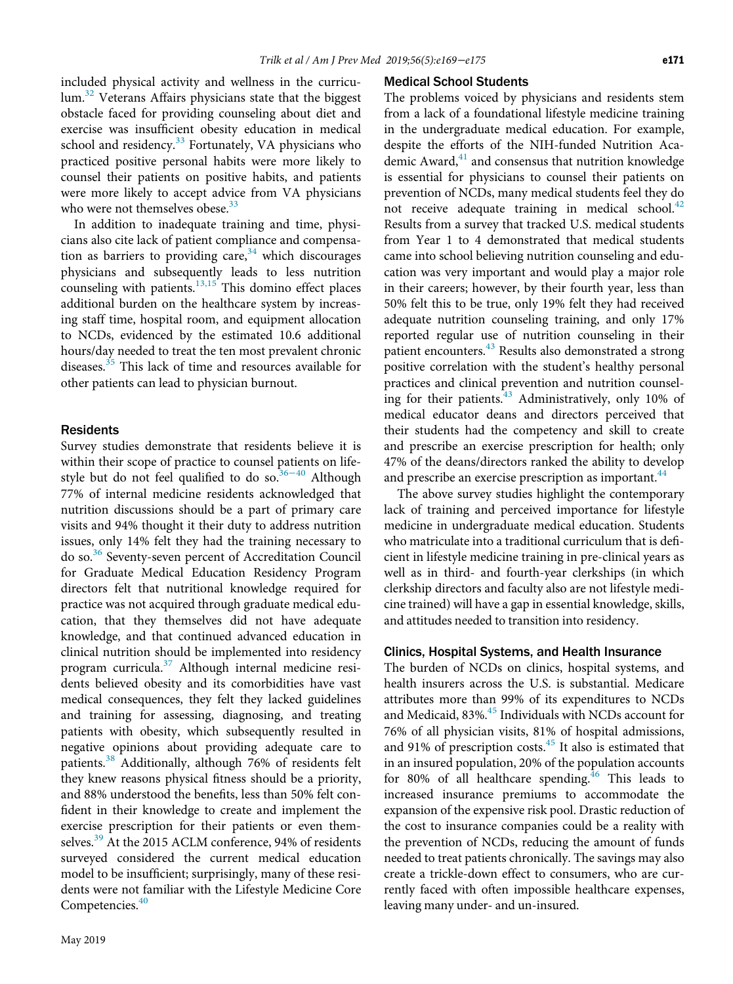included physical activity and wellness in the curricu-lum.<sup>[32](#page-5-25)</sup> Veterans Affairs physicians state that the biggest obstacle faced for providing counseling about diet and exercise was insufficient obesity education in medical school and residency.<sup>[33](#page-5-26)</sup> Fortunately, VA physicians who practiced positive personal habits were more likely to counsel their patients on positive habits, and patients were more likely to accept advice from VA physicians who were not themselves obese.<sup>[33](#page-5-26)</sup>

In addition to inadequate training and time, physicians also cite lack of patient compliance and compensation as barriers to providing care,  $34$  which discourages physicians and subsequently leads to less nutrition counseling with patients. $13,15$  This domino effect places additional burden on the healthcare system by increasing staff time, hospital room, and equipment allocation to NCDs, evidenced by the estimated 10.6 additional hours/day needed to treat the ten most prevalent chronic diseases.<sup>[35](#page-5-28)</sup> This lack of time and resources available for other patients can lead to physician burnout.

#### **Residents**

Survey studies demonstrate that residents believe it is within their scope of practice to counsel patients on life-style but do not feel qualified to do so.<sup>[36](#page-5-29)−40</sup> Although 77% of internal medicine residents acknowledged that nutrition discussions should be a part of primary care visits and 94% thought it their duty to address nutrition issues, only 14% felt they had the training necessary to do so.<sup>[36](#page-5-29)</sup> Seventy-seven percent of Accreditation Council for Graduate Medical Education Residency Program directors felt that nutritional knowledge required for practice was not acquired through graduate medical education, that they themselves did not have adequate knowledge, and that continued advanced education in clinical nutrition should be implemented into residency program curricula.<sup>[37](#page-5-30)</sup> Although internal medicine residents believed obesity and its comorbidities have vast medical consequences, they felt they lacked guidelines and training for assessing, diagnosing, and treating patients with obesity, which subsequently resulted in negative opinions about providing adequate care to patients.<sup>[38](#page-5-31)</sup> Additionally, although 76% of residents felt they knew reasons physical fitness should be a priority, and 88% understood the benefits, less than 50% felt confident in their knowledge to create and implement the exercise prescription for their patients or even them-selves.<sup>[39](#page-5-32)</sup> At the 2015 ACLM conference, 94% of residents surveyed considered the current medical education model to be insufficient; surprisingly, many of these residents were not familiar with the Lifestyle Medicine Core Competencies.<sup>[40](#page-5-33)</sup>

# May 2019

# Medical School Students

The problems voiced by physicians and residents stem from a lack of a foundational lifestyle medicine training in the undergraduate medical education. For example, despite the efforts of the NIH-funded Nutrition Academic Award, $41$  and consensus that nutrition knowledge is essential for physicians to counsel their patients on prevention of NCDs, many medical students feel they do not receive adequate training in medical school. $42$ Results from a survey that tracked U.S. medical students from Year 1 to 4 demonstrated that medical students came into school believing nutrition counseling and education was very important and would play a major role in their careers; however, by their fourth year, less than 50% felt this to be true, only 19% felt they had received adequate nutrition counseling training, and only 17% reported regular use of nutrition counseling in their patient encounters.<sup>[43](#page-6-1)</sup> Results also demonstrated a strong positive correlation with the student's healthy personal practices and clinical prevention and nutrition counsel-ing for their patients.<sup>[43](#page-6-1)</sup> Administratively, only 10% of medical educator deans and directors perceived that their students had the competency and skill to create and prescribe an exercise prescription for health; only 47% of the deans/directors ranked the ability to develop and prescribe an exercise prescription as important.<sup>[44](#page-6-2)</sup>

The above survey studies highlight the contemporary lack of training and perceived importance for lifestyle medicine in undergraduate medical education. Students who matriculate into a traditional curriculum that is deficient in lifestyle medicine training in pre-clinical years as well as in third- and fourth-year clerkships (in which clerkship directors and faculty also are not lifestyle medicine trained) will have a gap in essential knowledge, skills, and attitudes needed to transition into residency.

#### Clinics, Hospital Systems, and Health Insurance

The burden of NCDs on clinics, hospital systems, and health insurers across the U.S. is substantial. Medicare attributes more than 99% of its expenditures to NCDs and Medicaid, 83%.<sup>45</sup> Individuals with NCDs account for 76% of all physician visits, 81% of hospital admissions, and 91% of prescription costs.<sup>45</sup> It also is estimated that in an insured population, 20% of the population accounts for 80% of all healthcare spending. $46$  This leads to increased insurance premiums to accommodate the expansion of the expensive risk pool. Drastic reduction of the cost to insurance companies could be a reality with the prevention of NCDs, reducing the amount of funds needed to treat patients chronically. The savings may also create a trickle-down effect to consumers, who are currently faced with often impossible healthcare expenses, leaving many under- and un-insured.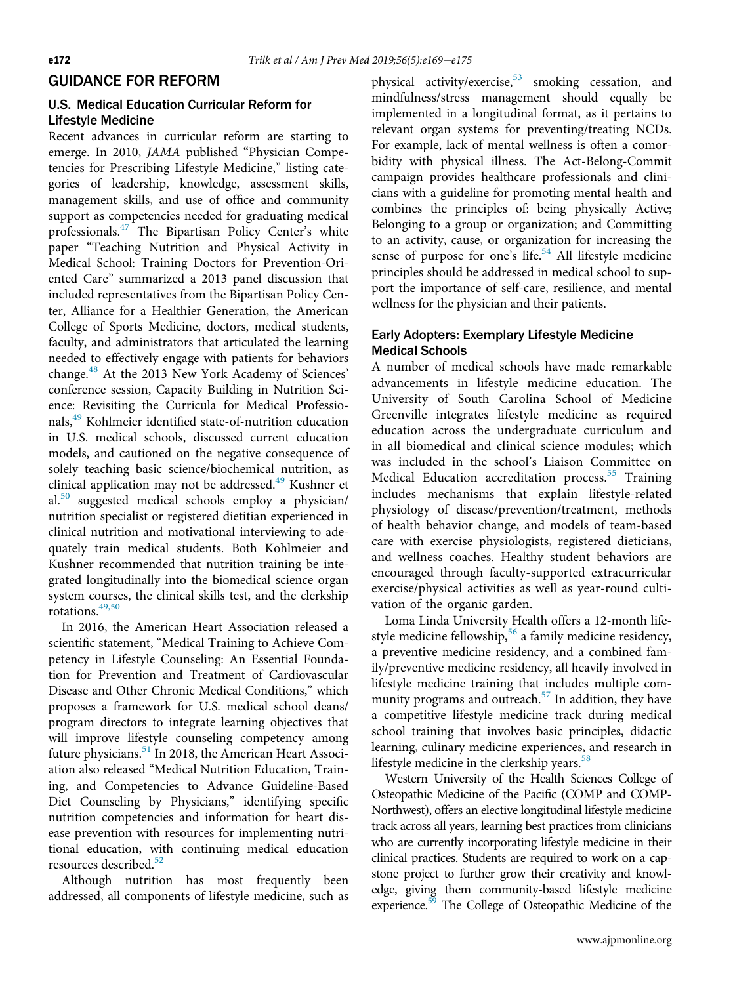### GUIDANCE FOR REFORM

### U.S. Medical Education Curricular Reform for Lifestyle Medicine

Recent advances in curricular reform are starting to emerge. In 2010, JAMA published "Physician Competencies for Prescribing Lifestyle Medicine," listing categories of leadership, knowledge, assessment skills, management skills, and use of office and community support as competencies needed for graduating medical professionals.<sup>47</sup> The Bipartisan Policy Center's white paper "Teaching Nutrition and Physical Activity in Medical School: Training Doctors for Prevention-Oriented Care" summarized a 2013 panel discussion that included representatives from the Bipartisan Policy Center, Alliance for a Healthier Generation, the American College of Sports Medicine, doctors, medical students, faculty, and administrators that articulated the learning needed to effectively engage with patients for behaviors change.[48](#page-6-6) At the 2013 New York Academy of Sciences' conference session, Capacity Building in Nutrition Science: Revisiting the Curricula for Medical Professio-nals,<sup>[49](#page-6-7)</sup> Kohlmeier identified state-of-nutrition education in U.S. medical schools, discussed current education models, and cautioned on the negative consequence of solely teaching basic science/biochemical nutrition, as clinical application may not be addressed.<sup>[49](#page-6-7)</sup> Kushner et al.[50](#page-6-8) suggested medical schools employ a physician/ nutrition specialist or registered dietitian experienced in clinical nutrition and motivational interviewing to adequately train medical students. Both Kohlmeier and Kushner recommended that nutrition training be integrated longitudinally into the biomedical science organ system courses, the clinical skills test, and the clerkship  $rotations.<sup>49,50</sup>$  $rotations.<sup>49,50</sup>$  $rotations.<sup>49,50</sup>$ 

In 2016, the American Heart Association released a scientific statement, "Medical Training to Achieve Competency in Lifestyle Counseling: An Essential Foundation for Prevention and Treatment of Cardiovascular Disease and Other Chronic Medical Conditions," which proposes a framework for U.S. medical school deans/ program directors to integrate learning objectives that will improve lifestyle counseling competency among future physicians.<sup>51</sup> In 2018, the American Heart Association also released "Medical Nutrition Education, Training, and Competencies to Advance Guideline-Based Diet Counseling by Physicians," identifying specific nutrition competencies and information for heart disease prevention with resources for implementing nutritional education, with continuing medical education resources described.<sup>[52](#page-6-10)</sup>

Although nutrition has most frequently been addressed, all components of lifestyle medicine, such as

physical activity/exercise,<sup>[53](#page-6-11)</sup> smoking cessation, and mindfulness/stress management should equally be implemented in a longitudinal format, as it pertains to relevant organ systems for preventing/treating NCDs. For example, lack of mental wellness is often a comorbidity with physical illness. The Act-Belong-Commit campaign provides healthcare professionals and clinicians with a guideline for promoting mental health and combines the principles of: being physically Active; Belonging to a group or organization; and Committing to an activity, cause, or organization for increasing the sense of purpose for one's life.<sup>[54](#page-6-12)</sup> All lifestyle medicine principles should be addressed in medical school to support the importance of self-care, resilience, and mental wellness for the physician and their patients.

# Early Adopters: Exemplary Lifestyle Medicine Medical Schools

A number of medical schools have made remarkable advancements in lifestyle medicine education. The University of South Carolina School of Medicine Greenville integrates lifestyle medicine as required education across the undergraduate curriculum and in all biomedical and clinical science modules; which was included in the school's Liaison Committee on Medical Education accreditation process.<sup>[55](#page-6-13)</sup> Training includes mechanisms that explain lifestyle-related physiology of disease/prevention/treatment, methods of health behavior change, and models of team-based care with exercise physiologists, registered dieticians, and wellness coaches. Healthy student behaviors are encouraged through faculty-supported extracurricular exercise/physical activities as well as year-round cultivation of the organic garden.

Loma Linda University Health offers a 12-month lifestyle medicine fellowship,<sup>56</sup> a family medicine residency, a preventive medicine residency, and a combined family/preventive medicine residency, all heavily involved in lifestyle medicine training that includes multiple com-munity programs and outreach.<sup>[57](#page-6-15)</sup> In addition, they have a competitive lifestyle medicine track during medical school training that involves basic principles, didactic learning, culinary medicine experiences, and research in lifestyle medicine in the clerkship years.<sup>[58](#page-6-16)</sup>

Western University of the Health Sciences College of Osteopathic Medicine of the Pacific (COMP and COMP-Northwest), offers an elective longitudinal lifestyle medicine track across all years, learning best practices from clinicians who are currently incorporating lifestyle medicine in their clinical practices. Students are required to work on a capstone project to further grow their creativity and knowledge, giving them community-based lifestyle medicine experience.<sup>59</sup> The College of Osteopathic Medicine of the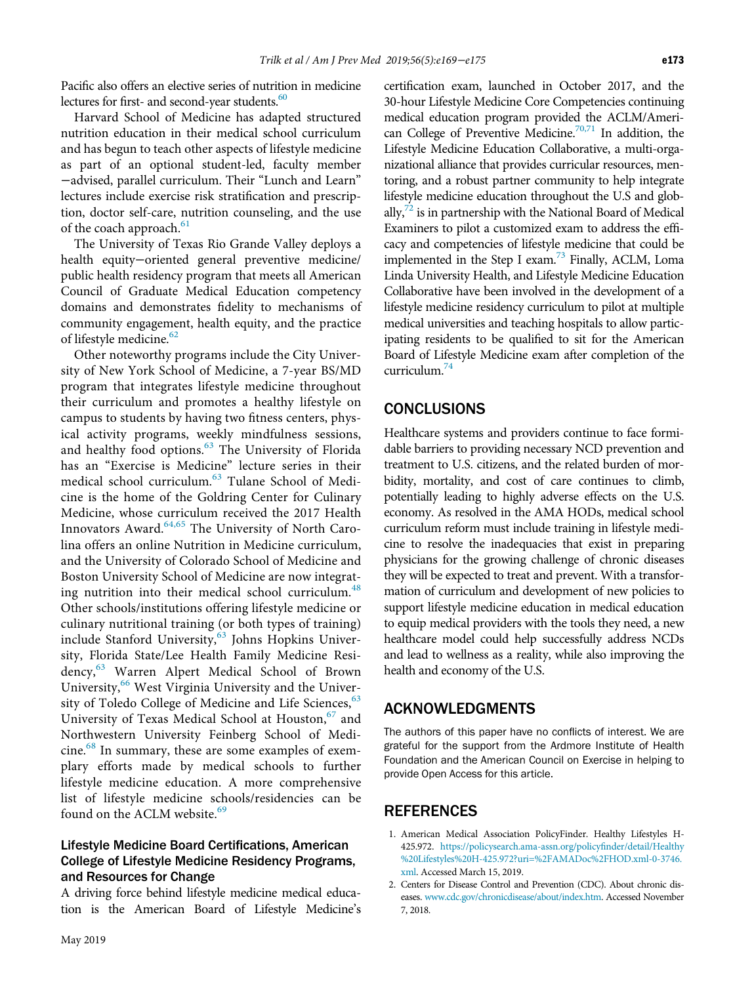Pacific also offers an elective series of nutrition in medicine lectures for first- and second-year students.<sup>[60](#page-6-18)</sup>

Harvard School of Medicine has adapted structured nutrition education in their medical school curriculum and has begun to teach other aspects of lifestyle medicine as part of an optional student-led, faculty member −advised, parallel curriculum. Their "Lunch and Learn" lectures include exercise risk stratification and prescription, doctor self-care, nutrition counseling, and the use of the coach approach.<sup>[61](#page-6-19)</sup>

The University of Texas Rio Grande Valley deploys a health equity−oriented general preventive medicine/ public health residency program that meets all American Council of Graduate Medical Education competency domains and demonstrates fidelity to mechanisms of community engagement, health equity, and the practice of lifestyle medicine.<sup>[62](#page-6-20)</sup>

Other noteworthy programs include the City University of New York School of Medicine, a 7-year BS/MD program that integrates lifestyle medicine throughout their curriculum and promotes a healthy lifestyle on campus to students by having two fitness centers, physical activity programs, weekly mindfulness sessions, and healthy food options.<sup>[63](#page-6-21)</sup> The University of Florida has an "Exercise is Medicine" lecture series in their medical school curriculum.<sup>[63](#page-6-21)</sup> Tulane School of Medicine is the home of the Goldring Center for Culinary Medicine, whose curriculum received the 2017 Health Innovators Award.<sup>[64,65](#page-6-22)</sup> The University of North Carolina offers an online Nutrition in Medicine curriculum, and the University of Colorado School of Medicine and Boston University School of Medicine are now integrat-ing nutrition into their medical school curriculum.<sup>[48](#page-6-6)</sup> Other schools/institutions offering lifestyle medicine or culinary nutritional training (or both types of training) include Stanford University,<sup>[63](#page-6-21)</sup> Johns Hopkins University, Florida State/Lee Health Family Medicine Resi-dency,<sup>[63](#page-6-21)</sup> Warren Alpert Medical School of Brown University,<sup>[66](#page-6-23)</sup> West Virginia University and the University of Toledo College of Medicine and Life Sciences,  $63$ University of Texas Medical School at Houston,<sup>[67](#page-6-24)</sup> and Northwestern University Feinberg School of Medi-cine.<sup>[68](#page-6-25)</sup> In summary, these are some examples of exemplary efforts made by medical schools to further lifestyle medicine education. A more comprehensive list of lifestyle medicine schools/residencies can be found on the ACLM website.<sup>[69](#page-6-26)</sup>

# <span id="page-4-0"></span>Lifestyle Medicine Board Certifications, American College of Lifestyle Medicine Residency Programs, and Resources for Change

<span id="page-4-1"></span>A driving force behind lifestyle medicine medical education is the American Board of Lifestyle Medicine's certification exam, launched in October 2017, and the 30-hour Lifestyle Medicine Core Competencies continuing medical education program provided the ACLM/American College of Preventive Medicine.<sup>70,71</sup> In addition, the Lifestyle Medicine Education Collaborative, a multi-organizational alliance that provides curricular resources, mentoring, and a robust partner community to help integrate lifestyle medicine education throughout the U.S and globally, $\frac{y}{2}$  is in partnership with the National Board of Medical Examiners to pilot a customized exam to address the efficacy and competencies of lifestyle medicine that could be implemented in the Step I exam.<sup>73</sup> Finally, ACLM, Loma Linda University Health, and Lifestyle Medicine Education Collaborative have been involved in the development of a lifestyle medicine residency curriculum to pilot at multiple medical universities and teaching hospitals to allow participating residents to be qualified to sit for the American Board of Lifestyle Medicine exam after completion of the curriculum. $74$ 

# CONCLUSIONS

Healthcare systems and providers continue to face formidable barriers to providing necessary NCD prevention and treatment to U.S. citizens, and the related burden of morbidity, mortality, and cost of care continues to climb, potentially leading to highly adverse effects on the U.S. economy. As resolved in the AMA HODs, medical school curriculum reform must include training in lifestyle medicine to resolve the inadequacies that exist in preparing physicians for the growing challenge of chronic diseases they will be expected to treat and prevent. With a transformation of curriculum and development of new policies to support lifestyle medicine education in medical education to equip medical providers with the tools they need, a new healthcare model could help successfully address NCDs and lead to wellness as a reality, while also improving the health and economy of the U.S.

# ACKNOWLEDGMENTS

The authors of this paper have no conflicts of interest. We are grateful for the support from the Ardmore Institute of Health Foundation and the American Council on Exercise in helping to provide Open Access for this article.

# **REFERENCES**

- 1. American Medical Association PolicyFinder. Healthy Lifestyles H-425.972. [https://policysearch.ama-assn.org/policy](https://policysearch.ama-assn.org/policyfinder/detail/Healthy%20Lifestyles%20H-425.972?uri=%2FAMADoc%2FHOD.xml-0-3746.xml)finder/detail/Healthy [%20Lifestyles%20H-425.972?uri=%2FAMADoc%2FHOD.xml-0-3746.](https://policysearch.ama-assn.org/policyfinder/detail/Healthy%20Lifestyles%20H-425.972?uri=%2FAMADoc%2FHOD.xml-0-3746.xml) [xml](https://policysearch.ama-assn.org/policyfinder/detail/Healthy%20Lifestyles%20H-425.972?uri=%2FAMADoc%2FHOD.xml-0-3746.xml). Accessed March 15, 2019.
- 2. Centers for Disease Control and Prevention (CDC). About chronic diseases. [www.cdc.gov/chronicdisease/about/index.htm.](http://www.cdc.gov/chronicdisease/about/index.htm) Accessed November 7, 2018.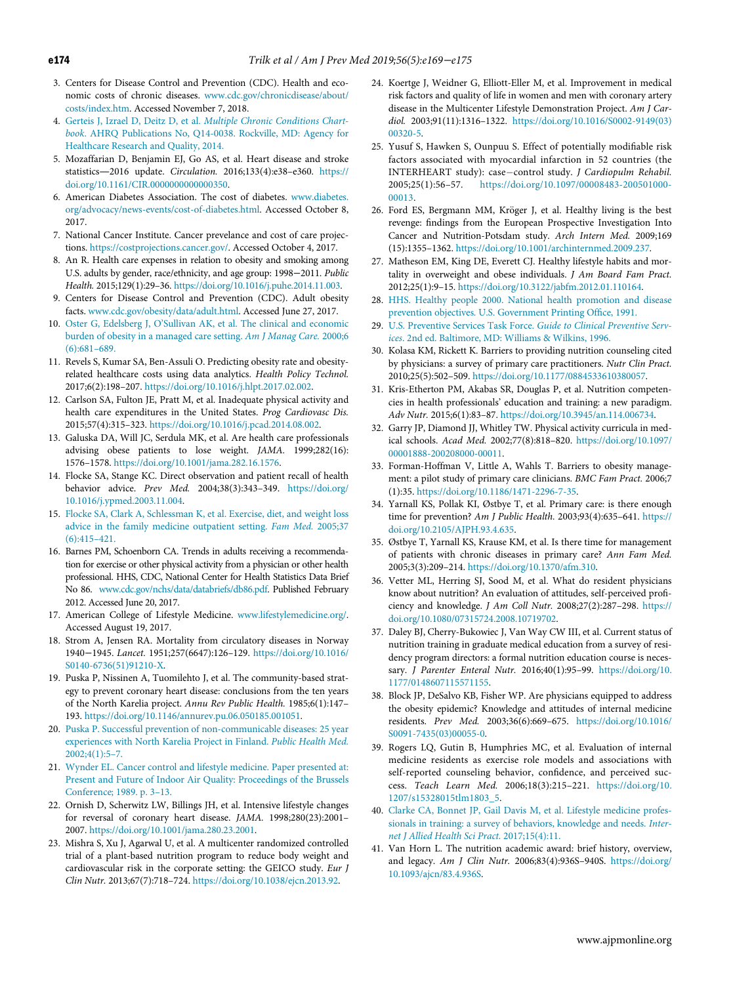- <span id="page-5-18"></span><span id="page-5-0"></span>3. Centers for Disease Control and Prevention (CDC). Health and economic costs of chronic diseases. [www.cdc.gov/chronicdisease/about/](http://www.cdc.gov/chronicdisease/about/costs/index.htm) [costs/index.htm.](http://www.cdc.gov/chronicdisease/about/costs/index.htm) Accessed November 7, 2018.
- 4. Gerteis J, Izrael D, Deitz D, et al. [Multiple Chronic Conditions Chart](http://refhub.elsevier.com/S0749-3797(18)32440-1/sbref0002)book[. AHRQ Publications No, Q14-0038. Rockville, MD: Agency for](http://refhub.elsevier.com/S0749-3797(18)32440-1/sbref0002) [Healthcare Research and Quality, 2014.](http://refhub.elsevier.com/S0749-3797(18)32440-1/sbref0002)
- <span id="page-5-19"></span><span id="page-5-1"></span>5. Mozaffarian D, Benjamin EJ, Go AS, et al. Heart disease and stroke statistics—2016 update. Circulation. 2016;133(4):e38–e360. [https://](https://doi.org/10.1161/CIR.0000000000000350) [doi.org/10.1161/CIR.0000000000000350.](https://doi.org/10.1161/CIR.0000000000000350)
- <span id="page-5-20"></span><span id="page-5-2"></span>6. American Diabetes Association. The cost of diabetes. [www.diabetes.](http://www.diabetes.org/advocacy/news-events/cost-of-diabetes.html) [org/advocacy/news-events/cost-of-diabetes.html.](http://www.diabetes.org/advocacy/news-events/cost-of-diabetes.html) Accessed October 8, 2017.
- <span id="page-5-3"></span>7. National Cancer Institute. Cancer prevelance and cost of care projections. <https://costprojections.cancer.gov/>. Accessed October 4, 2017.
- <span id="page-5-21"></span><span id="page-5-4"></span>8. An R. Health care expenses in relation to obesity and smoking among U.S. adults by gender, race/ethnicity, and age group: 1998−2011. Public Health. 2015;129(1):29–36. <https://doi.org/10.1016/j.puhe.2014.11.003>.
- <span id="page-5-22"></span><span id="page-5-5"></span>9. Centers for Disease Control and Prevention (CDC). Adult obesity facts. [www.cdc.gov/obesity/data/adult.html](http://www.cdc.gov/obesity/data/adult.html). Accessed June 27, 2017.
- <span id="page-5-6"></span>10. Oster G, Edelsberg J, O'[Sullivan AK, et al. The clinical and economic](http://refhub.elsevier.com/S0749-3797(18)32440-1/sbref0005) [burden of obesity in a managed care setting.](http://refhub.elsevier.com/S0749-3797(18)32440-1/sbref0005) Am J Manag Care. 2000;6 [\(6\):681](http://refhub.elsevier.com/S0749-3797(18)32440-1/sbref0005)–689.
- <span id="page-5-23"></span><span id="page-5-7"></span>11. Revels S, Kumar SA, Ben-Assuli O. Predicting obesity rate and obesityrelated healthcare costs using data analytics. Health Policy Technol. 2017;6(2):198–207. [https://doi.org/10.1016/j.hlpt.2017.02.002.](https://doi.org/10.1016/j.hlpt.2017.02.002)
- <span id="page-5-24"></span><span id="page-5-8"></span>12. Carlson SA, Fulton JE, Pratt M, et al. Inadequate physical activity and health care expenditures in the United States. Prog Cardiovasc Dis. 2015;57(4):315–323. [https://doi.org/10.1016/j.pcad.2014.08.002.](https://doi.org/10.1016/j.pcad.2014.08.002)
- <span id="page-5-25"></span><span id="page-5-9"></span>13. Galuska DA, Will JC, Serdula MK, et al. Are health care professionals advising obese patients to lose weight. JAMA. 1999;282(16): 1576–1578. [https://doi.org/10.1001/jama.282.16.1576.](https://doi.org/10.1001/jama.282.16.1576)
- <span id="page-5-26"></span><span id="page-5-10"></span>14. Flocke SA, Stange KC. Direct observation and patient recall of health behavior advice. Prev Med. 2004;38(3):343–349. [https://doi.org/](https://doi.org/10.1016/j.ypmed.2003.11.004) [10.1016/j.ypmed.2003.11.004](https://doi.org/10.1016/j.ypmed.2003.11.004).
- <span id="page-5-27"></span><span id="page-5-11"></span>15. [Flocke SA, Clark A, Schlessman K, et al. Exercise, diet, and weight loss](http://refhub.elsevier.com/S0749-3797(18)32440-1/sbref0010) [advice in the family medicine outpatient setting.](http://refhub.elsevier.com/S0749-3797(18)32440-1/sbref0010) Fam Med. 2005;37 [\(6\):415](http://refhub.elsevier.com/S0749-3797(18)32440-1/sbref0010)–421.
- <span id="page-5-29"></span><span id="page-5-28"></span><span id="page-5-12"></span>16. Barnes PM, Schoenborn CA. Trends in adults receiving a recommendation for exercise or other physical activity from a physician or other health professional. HHS, CDC, National Center for Health Statistics Data Brief No 86. [www.cdc.gov/nchs/data/databriefs/db86.pdf](http://www.cdc.gov/nchs/data/databriefs/db86.pdf). Published February 2012. Accessed June 20, 2017.
- <span id="page-5-13"></span>17. American College of Lifestyle Medicine. [www.lifestylemedicine.org/](http://www.lifestylemedicine.org/). Accessed August 19, 2017.
- <span id="page-5-30"></span><span id="page-5-14"></span>18. Strom A, Jensen RA. Mortality from circulatory diseases in Norway 1940−1945. Lancet. 1951;257(6647):126–129. [https://doi.org/10.1016/](https://doi.org/10.1016/S0140-6736(51)91210-X) [S0140-6736\(51\)91210-X](https://doi.org/10.1016/S0140-6736(51)91210-X).
- <span id="page-5-31"></span>19. Puska P, Nissinen A, Tuomilehto J, et al. The community-based strategy to prevent coronary heart disease: conclusions from the ten years of the North Karelia project. Annu Rev Public Health. 1985;6(1):147– 193. <https://doi.org/10.1146/annurev.pu.06.050185.001051>.
- <span id="page-5-32"></span>20. [Puska P. Successful prevention of non-communicable diseases: 25 year](http://refhub.elsevier.com/S0749-3797(18)32440-1/sbref0014) [experiences with North Karelia Project in Finland.](http://refhub.elsevier.com/S0749-3797(18)32440-1/sbref0014) Public Health Med.  $2002:4(1):5-7.$
- <span id="page-5-15"></span>21. [Wynder EL. Cancer control and lifestyle medicine. Paper presented at:](http://refhub.elsevier.com/S0749-3797(18)32440-1/sbref0015) [Present and Future of Indoor Air Quality: Proceedings of the Brussels](http://refhub.elsevier.com/S0749-3797(18)32440-1/sbref0015) [Conference; 1989. p. 3](http://refhub.elsevier.com/S0749-3797(18)32440-1/sbref0015)–13.
- <span id="page-5-33"></span><span id="page-5-16"></span>22. Ornish D, Scherwitz LW, Billings JH, et al. Intensive lifestyle changes for reversal of coronary heart disease. JAMA. 1998;280(23):2001– 2007. <https://doi.org/10.1001/jama.280.23.2001>.
- <span id="page-5-34"></span><span id="page-5-17"></span>23. Mishra S, Xu J, Agarwal U, et al. A multicenter randomized controlled trial of a plant-based nutrition program to reduce body weight and cardiovascular risk in the corporate setting: the GEICO study. Eur J Clin Nutr. 2013;67(7):718–724. [https://doi.org/10.1038/ejcn.2013.92.](https://doi.org/10.1038/ejcn.2013.92)
- 24. Koertge J, Weidner G, Elliott-Eller M, et al. Improvement in medical risk factors and quality of life in women and men with coronary artery disease in the Multicenter Lifestyle Demonstration Project. Am J Cardiol. 2003;91(11):1316–1322. [https://doi.org/10.1016/S0002-9149\(03\)](https://doi.org/10.1016/S0002-9149(03)00320-5) [00320-5](https://doi.org/10.1016/S0002-9149(03)00320-5).
- 25. Yusuf S, Hawken S, Ounpuu S. Effect of potentially modifiable risk factors associated with myocardial infarction in 52 countries (the INTERHEART study): case-control study. J Cardiopulm Rehabil. 2005;25(1):56–57. [https://doi.org/10.1097/00008483-200501000-](https://doi.org/10.1097/00008483-200501000-00013) [00013](https://doi.org/10.1097/00008483-200501000-00013).
- 26. Ford ES, Bergmann MM, Kröger J, et al. Healthy living is the best revenge: findings from the European Prospective Investigation Into Cancer and Nutrition-Potsdam study. Arch Intern Med. 2009;169 (15):1355–1362. [https://doi.org/10.1001/archinternmed.2009.237.](https://doi.org/10.1001/archinternmed.2009.237)
- 27. Matheson EM, King DE, Everett CJ. Healthy lifestyle habits and mortality in overweight and obese individuals. J Am Board Fam Pract. 2012;25(1):9–15. <https://doi.org/10.3122/jabfm.2012.01.110164>.
- 28. [HHS. Healthy people 2000. National health promotion and disease](http://refhub.elsevier.com/S0749-3797(18)32440-1/sbref0022) [prevention objectives. U.S. Government Printing Of](http://refhub.elsevier.com/S0749-3797(18)32440-1/sbref0022)fice, 1991.
- 29. [U.S. Preventive Services Task Force.](http://refhub.elsevier.com/S0749-3797(18)32440-1/sbref0023) Guide to Clinical Preventive Services[. 2nd ed. Baltimore, MD: Williams & Wilkins, 1996.](http://refhub.elsevier.com/S0749-3797(18)32440-1/sbref0023)
- 30. Kolasa KM, Rickett K. Barriers to providing nutrition counseling cited by physicians: a survey of primary care practitioners. Nutr Clin Pract. 2010;25(5):502–509. [https://doi.org/10.1177/0884533610380057.](https://doi.org/10.1177/0884533610380057)
- 31. Kris-Etherton PM, Akabas SR, Douglas P, et al. Nutrition competencies in health professionals' education and training: a new paradigm. Adv Nutr. 2015;6(1):83–87. <https://doi.org/10.3945/an.114.006734>.
- 32. Garry JP, Diamond JJ, Whitley TW. Physical activity curricula in medical schools. Acad Med. 2002;77(8):818–820. [https://doi.org/10.1097/](https://doi.org/10.1097/00001888-200208000-00011) [00001888-200208000-00011.](https://doi.org/10.1097/00001888-200208000-00011)
- 33. Forman-Hoffman V, Little A, Wahls T. Barriers to obesity management: a pilot study of primary care clinicians. BMC Fam Pract. 2006;7 (1):35. <https://doi.org/10.1186/1471-2296-7-35>.
- 34. Yarnall KS, Pollak KI, Østbye T, et al. Primary care: is there enough time for prevention? Am J Public Health. 2003;93(4):635–641. [https://](https://doi.org/10.2105/AJPH.93.4.635) [doi.org/10.2105/AJPH.93.4.635](https://doi.org/10.2105/AJPH.93.4.635).
- 35. Østbye T, Yarnall KS, Krause KM, et al. Is there time for management of patients with chronic diseases in primary care? Ann Fam Med. 2005;3(3):209–214. <https://doi.org/10.1370/afm.310>.
- 36. Vetter ML, Herring SJ, Sood M, et al. What do resident physicians know about nutrition? An evaluation of attitudes, self-perceived proficiency and knowledge. J Am Coll Nutr. 2008;27(2):287–298. [https://](https://doi.org/10.1080/07315724.2008.10719702) [doi.org/10.1080/07315724.2008.10719702](https://doi.org/10.1080/07315724.2008.10719702).
- 37. Daley BJ, Cherry-Bukowiec J, Van Way CW III, et al. Current status of nutrition training in graduate medical education from a survey of residency program directors: a formal nutrition education course is necessary. J Parenter Enteral Nutr. 2016;40(1):95–99. [https://doi.org/10.](https://doi.org/10.1177/0148607115571155) [1177/0148607115571155](https://doi.org/10.1177/0148607115571155).
- 38. Block JP, DeSalvo KB, Fisher WP. Are physicians equipped to address the obesity epidemic? Knowledge and attitudes of internal medicine residents. Prev Med. 2003;36(6):669–675. [https://doi.org/10.1016/](https://doi.org/10.1016/S0091-7435(03)00055-0) [S0091-7435\(03\)00055-0](https://doi.org/10.1016/S0091-7435(03)00055-0).
- 39. Rogers LQ, Gutin B, Humphries MC, et al. Evaluation of internal medicine residents as exercise role models and associations with self-reported counseling behavior, confidence, and perceived success. Teach Learn Med. 2006;18(3):215–221. [https://doi.org/10.](https://doi.org/10.1207/s15328015tlm1803_5) [1207/s15328015tlm1803\\_5.](https://doi.org/10.1207/s15328015tlm1803_5)
- 40. [Clarke CA, Bonnet JP, Gail Davis M, et al. Lifestyle medicine profes](http://refhub.elsevier.com/S0749-3797(18)32440-1/sbref0034)[sionals in training: a survey of behaviors, knowledge and needs.](http://refhub.elsevier.com/S0749-3797(18)32440-1/sbref0034) Inter[net J Allied Health Sci Pract.](http://refhub.elsevier.com/S0749-3797(18)32440-1/sbref0034) 2017;15(4):11.
- 41. Van Horn L. The nutrition academic award: brief history, overview, and legacy. Am J Clin Nutr. 2006;83(4):936S–940S. [https://doi.org/](https://doi.org/10.1093/ajcn/83.4.936S) [10.1093/ajcn/83.4.936S](https://doi.org/10.1093/ajcn/83.4.936S).